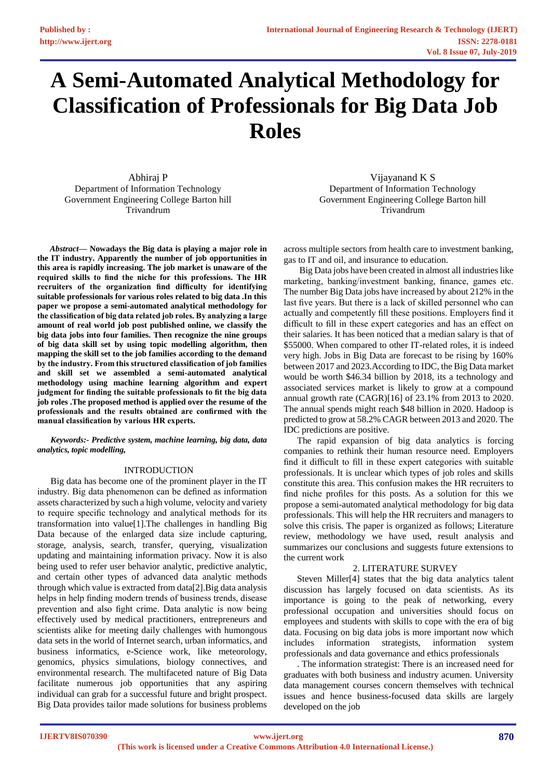# **A Semi-Automated Analytical Methodology for Classification of Professionals for Big Data Job Roles**

Abhiraj P Department of Information Technology Government Engineering College Barton hill Trivandrum

*Abstract***— Nowadays the Big data is playing a major role in the IT industry. Apparently the number of job opportunities in this area is rapidly increasing. The job market is unaware of the required skills to find the niche for this professions. The HR recruiters of the organization find difficulty for identifying suitable professionals for various roles related to big data .In this paper we propose a semi-automated analytical methodology for the classification of big data related job roles. By analyzing a large amount of real world job post published online, we classify the big data jobs into four families. Then recognize the nine groups of big data skill set by using topic modelling algorithm, then mapping the skill set to the job families according to the demand by the industry. From this structured classification of job families and skill set we assembled a semi-automated analytical methodology using machine learning algorithm and expert judgment for finding the suitable professionals to fit the big data job roles .The proposed method is applied over the resume of the professionals and the results obtained are confirmed with the manual classification by various HR experts.**

*Keywords:- Predictive system, machine learning, big data, data analytics, topic modelling,*

# INTRODUCTION

Big data has become one of the prominent player in the IT industry. Big data phenomenon can be defined as information assets characterized by such a high volume, velocity and variety to require specific technology and analytical methods for its transformation into value[1].The challenges in handling Big Data because of the enlarged data size include capturing, storage, analysis, search, transfer, querying, visualization updating and maintaining information privacy. Now it is also being used to refer user behavior analytic, predictive analytic, and certain other types of advanced data analytic methods through which value is extracted from data[2].Big data analysis helps in help finding modern trends of business trends, disease prevention and also fight crime. Data analytic is now being effectively used by medical practitioners, entrepreneurs and scientists alike for meeting daily challenges with humongous data sets in the world of Internet search, urban informatics, and business informatics, e-Science work, like meteorology, genomics, physics simulations, biology connectives, and environmental research. The multifaceted nature of Big Data facilitate numerous job opportunities that any aspiring individual can grab for a successful future and bright prospect. Big Data provides tailor made solutions for business problems

Vijayanand K S Department of Information Technology Government Engineering College Barton hill Trivandrum

across multiple sectors from health care to investment banking, gas to IT and oil, and insurance to education.

Big Data jobs have been created in almost all industries like marketing, banking/investment banking, finance, games etc. The number Big Data jobs have increased by about 212% in the last five years. But there is a lack of skilled personnel who can actually and competently fill these positions. Employers find it difficult to fill in these expert categories and has an effect on their salaries. It has been noticed that a median salary is that of \$55000. When compared to other IT-related roles, it is indeed very high. Jobs in Big Data are forecast to be rising by 160% between 2017 and 2023.According to IDC, the Big Data market would be worth \$46.34 billion by 2018, its a technology and associated services market is likely to grow at a compound annual growth rate (CAGR)[16] of 23.1% from 2013 to 2020. The annual spends might reach \$48 billion in 2020. Hadoop is predicted to grow at 58.2% CAGR between 2013 and 2020. The IDC predictions are positive.

The rapid expansion of big data analytics is forcing companies to rethink their human resource need. Employers find it difficult to fill in these expert categories with suitable professionals. It is unclear which types of job roles and skills constitute this area. This confusion makes the HR recruiters to find niche profiles for this posts. As a solution for this we propose a semi-automated analytical methodology for big data professionals. This will help the HR recruiters and managers to solve this crisis. The paper is organized as follows; Literature review, methodology we have used, result analysis and summarizes our conclusions and suggests future extensions to the current work

### 2. LITERATURE SURVEY

Steven Miller[4] states that the big data analytics talent discussion has largely focused on data scientists. As its importance is going to the peak of networking, every professional occupation and universities should focus on employees and students with skills to cope with the era of big data. Focusing on big data jobs is more important now which includes information strategists, information system professionals and data governance and ethics professionals

. The information strategist: There is an increased need for graduates with both business and industry acumen. University data management courses concern themselves with technical issues and hence business-focused data skills are largely developed on the job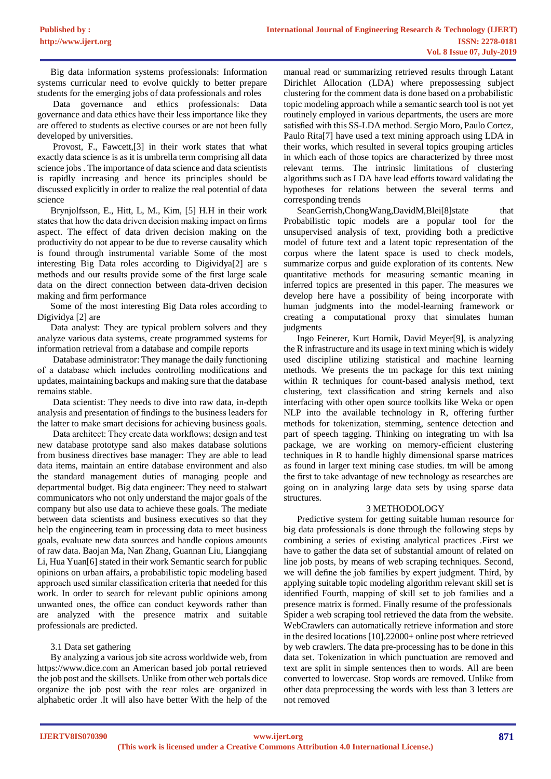Big data information systems professionals: Information systems curricular need to evolve quickly to better prepare students for the emerging jobs of data professionals and roles

Data governance and ethics professionals: Data governance and data ethics have their less importance like they are offered to students as elective courses or are not been fully developed by universities.

Provost, F., Fawcett,[3] in their work states that what exactly data science is as it is umbrella term comprising all data science jobs . The importance of data science and data scientists is rapidly increasing and hence its principles should be discussed explicitly in order to realize the real potential of data science

Brynjolfsson, E., Hitt, L, M., Kim, [5] H.H in their work states that how the data driven decision making impact on firms aspect. The effect of data driven decision making on the productivity do not appear to be due to reverse causality which is found through instrumental variable Some of the most interesting Big Data roles according to Digividya[2] are s methods and our results provide some of the first large scale data on the direct connection between data-driven decision making and firm performance

Some of the most interesting Big Data roles according to Digividya [2] are

Data analyst: They are typical problem solvers and they analyze various data systems, create programmed systems for information retrieval from a database and compile reports

Database administrator: They manage the daily functioning of a database which includes controlling modifications and updates, maintaining backups and making sure that the database remains stable.

Data scientist: They needs to dive into raw data, in-depth analysis and presentation of findings to the business leaders for the latter to make smart decisions for achieving business goals.

Data architect: They create data workflows; design and test new database prototype sand also makes database solutions from business directives base manager: They are able to lead data items, maintain an entire database environment and also the standard management duties of managing people and departmental budget. Big data engineer: They need to stalwart communicators who not only understand the major goals of the company but also use data to achieve these goals. The mediate between data scientists and business executives so that they help the engineering team in processing data to meet business goals, evaluate new data sources and handle copious amounts of raw data. Baojan Ma, Nan Zhang, Guannan Liu, Liangqiang Li, Hua Yuan[6] stated in their work Semantic search for public opinions on urban affairs, a probabilistic topic modeling based approach used similar classification criteria that needed for this work. In order to search for relevant public opinions among unwanted ones, the office can conduct keywords rather than are analyzed with the presence matrix and suitable professionals are predicted.

# 3.1 Data set gathering

By analyzing a various job site across worldwide web, from https://www.dice.com an American based job portal retrieved the job post and the skillsets. Unlike from other web portals dice organize the job post with the rear roles are organized in alphabetic order .It will also have better With the help of the

manual read or summarizing retrieved results through Latant Dirichlet Allocation (LDA) where prepossessing subject clustering for the comment data is done based on a probabilistic topic modeling approach while a semantic search tool is not yet routinely employed in various departments, the users are more satisfied with this SS-LDA method. Sergio Moro, Paulo Cortez, Paulo Rita[7] have used a text mining approach using LDA in their works, which resulted in several topics grouping articles in which each of those topics are characterized by three most relevant terms. The intrinsic limitations of clustering algorithms such as LDA have lead efforts toward validating the hypotheses for relations between the several terms and corresponding trends

SeanGerrish,ChongWang,DavidM,Blei[8]state that Probabilistic topic models are a popular tool for the unsupervised analysis of text, providing both a predictive model of future text and a latent topic representation of the corpus where the latent space is used to check models, summarize corpus and guide exploration of its contents. New quantitative methods for measuring semantic meaning in inferred topics are presented in this paper. The measures we develop here have a possibility of being incorporate with human judgments into the model-learning framework or creating a computational proxy that simulates human judgments

Ingo Feinerer, Kurt Hornik, David Meyer[9], is analyzing the R infrastructure and its usage in text mining which is widely used discipline utilizing statistical and machine learning methods. We presents the tm package for this text mining within R techniques for count-based analysis method, text clustering, text classification and string kernels and also interfacing with other open source toolkits like Weka or open NLP into the available technology in R, offering further methods for tokenization, stemming, sentence detection and part of speech tagging. Thinking on integrating tm with lsa package, we are working on memory-efficient clustering techniques in R to handle highly dimensional sparse matrices as found in larger text mining case studies. tm will be among the first to take advantage of new technology as researches are going on in analyzing large data sets by using sparse data structures.

### 3 METHODOLOGY

Predictive system for getting suitable human resource for big data professionals is done through the following steps by combining a series of existing analytical practices .First we have to gather the data set of substantial amount of related on line job posts, by means of web scraping techniques. Second, we will define the job families by expert judgment. Third, by applying suitable topic modeling algorithm relevant skill set is identified Fourth, mapping of skill set to job families and a presence matrix is formed. Finally resume of the professionals Spider a web scraping tool retrieved the data from the website. WebCrawlers can automatically retrieve information and store in the desired locations [10].22000+ online post where retrieved by web crawlers. The data pre-processing has to be done in this data set. Tokenization in which punctuation are removed and text are split in simple sentences then to words. All are been converted to lowercase. Stop words are removed. Unlike from other data preprocessing the words with less than 3 letters are not removed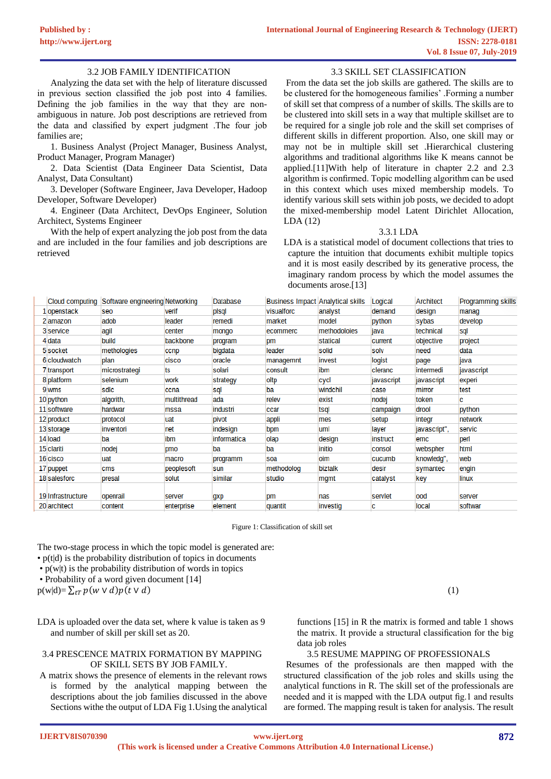### 3.2 JOB FAMILY IDENTIFICATION

Analyzing the data set with the help of literature discussed in previous section classified the job post into 4 families. Defining the job families in the way that they are nonambiguous in nature. Job post descriptions are retrieved from the data and classified by expert judgment .The four job families are;

1. Business Analyst (Project Manager, Business Analyst, Product Manager, Program Manager)

2. Data Scientist (Data Engineer Data Scientist, Data Analyst, Data Consultant)

3. Developer (Software Engineer, Java Developer, Hadoop Developer, Software Developer)

4. Engineer (Data Architect, DevOps Engineer, Solution Architect, Systems Engineer

With the help of expert analyzing the job post from the data and are included in the four families and job descriptions are retrieved

# 3.3 SKILL SET CLASSIFICATION

From the data set the job skills are gathered. The skills are to be clustered for the homogeneous families' .Forming a number of skill set that compress of a number of skills. The skills are to be clustered into skill sets in a way that multiple skillset are to be required for a single job role and the skill set comprises of different skills in different proportion. Also, one skill may or may not be in multiple skill set .Hierarchical clustering algorithms and traditional algorithms like K means cannot be applied.[11]With help of literature in chapter 2.2 and 2.3 algorithm is confirmed. Topic modelling algorithm can be used in this context which uses mixed membership models. To identify various skill sets within job posts, we decided to adopt the mixed-membership model Latent Dirichlet Allocation, LDA (12)

# 3.3.1 LDA

LDA is a statistical model of document collections that tries to capture the intuition that documents exhibit multiple topics and it is most easily described by its generative process, the imaginary random process by which the model assumes the documents arose.[13]

| Cloud computing   | Software engineering Networking |             | Database    | <b>Business Impact Analytical skills</b> |              | Logical    | Architect    | <b>Programming skills</b> |
|-------------------|---------------------------------|-------------|-------------|------------------------------------------|--------------|------------|--------------|---------------------------|
| 1 openstack       | seo                             | verif       | pisgi       | visualforc                               | analyst      | demand     | design       | manag                     |
| 2 amazon          | adob                            | leader      | remedi      | market                                   | model        | python     | sybas        | develop                   |
| 3 service         | agil                            | center      | mongo       | ecommerc                                 | methodoloies | java       | technical    | sql                       |
| 4 data            | build                           | backbone    | program     | pm                                       | statical     | current    | objective    | project                   |
| 5 socket          | methologies                     | ccnp        | bigdata     | leader                                   | solid        | solv       | need         | data                      |
| 6 cloudwatch      | plan                            | cisco       | oracle      | managemnt                                | invest       | logist     | page         | java                      |
| 7 transport       | microstrategi                   | ts          | solari      | consult                                  | ibm          | cleranc    | intermedi    | javascript                |
| 8 platform        | selenium                        | work        | strategy    | oltp                                     | cycl         | javascript | javascript   | experi                    |
| 9 wms             | sdic                            | ccna        | sql         | ba                                       | windchil     | case       | mirror       | test                      |
| 10 python         | algorith,                       | multithread | ada         | relev                                    | exist        | nodej      | token        | c                         |
| 11 software       | hardwar                         | mssa        | industri    | ccar                                     | tsal         | campaign   | drool        | python                    |
| 12 product        | protocol                        | luat        | pivot       | appli                                    | mes          | setup      | integr       | network                   |
| 13 storage        | inventori                       | net         | indesign    | bpm                                      | luml         | layer      | javascript", | servic                    |
| 14 load           | ba                              | ibm         | informatica | olap                                     | design       | instruct   | emc          | perl                      |
| 15 clariti        | nodej                           | pmo         | ba          | ba                                       | initio       | consol     | webspher     | html                      |
| 16 cisco          | uat                             | macro       | programm    | soa                                      | oim          | cucumb     | knowledg",   | web                       |
| 17 puppet         | cms                             | peoplesoft  | sun         | methodolog                               | biztalk      | desir      | symantec     | engin                     |
| 18 salesforc      | presal                          | solut       | similar     | studio                                   | mgmt         | catalyst   | key          | linux                     |
|                   |                                 |             |             |                                          |              |            |              |                           |
| 19 Infrastructure | openrail                        | server      | gxp         | pm                                       | nas          | servlet    | ood          | server                    |
| 20 architect      | content                         | enterprise  | element     | quantit                                  | investig     | c          | local        | softwar                   |

Figure 1: Classification of skill set

The two-stage process in which the topic model is generated are:

• p(t|d) is the probability distribution of topics in documents

- $\cdot$  p(w|t) is the probability distribution of words in topics
- Probability of a word given document [14]

 $p(w|d) = \sum_{t} p(w \vee d)p(t \vee d)$  (1)

LDA is uploaded over the data set, where k value is taken as 9 and number of skill per skill set as 20.

# 3.4 PRESCENCE MATRIX FORMATION BY MAPPING OF SKILL SETS BY JOB FAMILY.

A matrix shows the presence of elements in the relevant rows is formed by the analytical mapping between the descriptions about the job families discussed in the above Sections withe the output of LDA Fig 1.Using the analytical

functions [15] in R the matrix is formed and table 1 shows the matrix. It provide a structural classification for the big data job roles

#### 3.5 RESUME MAPPING OF PROFESSIONALS

Resumes of the professionals are then mapped with the structured classification of the job roles and skills using the analytical functions in R. The skill set of the professionals are needed and it is mapped with the LDA output fig.1 and results are formed. The mapping result is taken for analysis. The result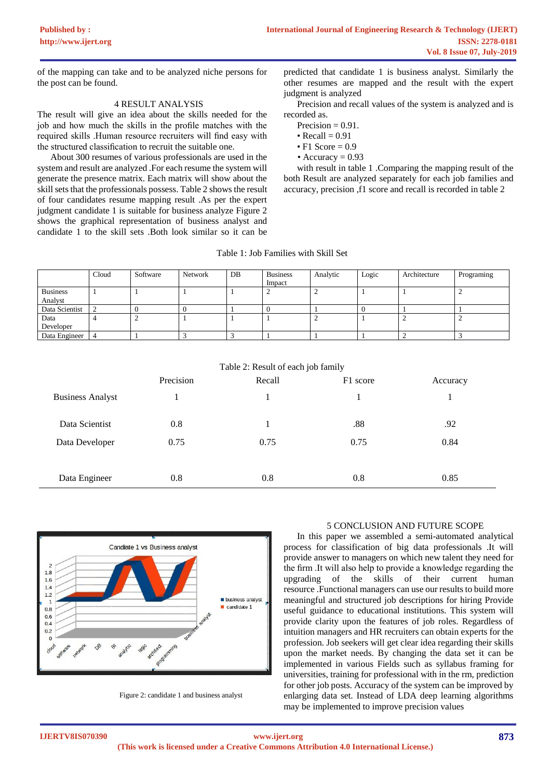of the mapping can take and to be analyzed niche persons for the post can be found.

# 4 RESULT ANALYSIS

The result will give an idea about the skills needed for the job and how much the skills in the profile matches with the required skills .Human resource recruiters will find easy with the structured classification to recruit the suitable one.

About 300 resumes of various professionals are used in the system and result are analyzed .For each resume the system will generate the presence matrix. Each matrix will show about the skill sets that the professionals possess. Table 2 shows the result of four candidates resume mapping result .As per the expert judgment candidate 1 is suitable for business analyze Figure 2 shows the graphical representation of business analyst and candidate 1 to the skill sets .Both look similar so it can be

predicted that candidate 1 is business analyst. Similarly the other resumes are mapped and the result with the expert judgment is analyzed

Precision and recall values of the system is analyzed and is recorded as.

- Precision  $= 0.91$ .
- Recall  $= 0.91$
- F1 Score  $= 0.9$
- Accuracy  $= 0.93$

with result in table 1 .Comparing the mapping result of the both Result are analyzed separately for each job families and accuracy, precision ,f1 score and recall is recorded in table 2

|  | Table 1: Job Families with Skill Set |  |  |
|--|--------------------------------------|--|--|
|  |                                      |  |  |

|                 | Cloud | Software | Network | DB | <b>Business</b><br>Impact | Analytic | Logic | Architecture | Programing |
|-----------------|-------|----------|---------|----|---------------------------|----------|-------|--------------|------------|
| <b>Business</b> |       |          |         |    | ∸                         |          |       |              |            |
| Analyst         |       |          |         |    |                           |          |       |              |            |
| Data Scientist  |       |          |         |    |                           |          |       |              |            |
| Data            |       |          |         |    |                           |          |       |              |            |
| Developer       |       |          |         |    |                           |          |       |              |            |
| Data Engineer   |       |          |         |    |                           |          |       |              |            |

| Table 2: Result of each job family |  |
|------------------------------------|--|
|------------------------------------|--|

|                         | Precision | Recall | F1 score | Accuracy |
|-------------------------|-----------|--------|----------|----------|
| <b>Business Analyst</b> |           |        |          |          |
| Data Scientist          | 0.8       |        | .88      | .92      |
| Data Developer          | 0.75      | 0.75   | 0.75     | 0.84     |
|                         |           |        |          |          |
| Data Engineer           | 0.8       | 0.8    | 0.8      | 0.85     |



Figure 2: candidate 1 and business analyst

# 5 CONCLUSION AND FUTURE SCOPE

In this paper we assembled a semi-automated analytical process for classification of big data professionals .It will provide answer to managers on which new talent they need for the firm .It will also help to provide a knowledge regarding the upgrading of the skills of their current human resource .Functional managers can use our results to build more meaningful and structured job descriptions for hiring Provide useful guidance to educational institutions. This system will provide clarity upon the features of job roles. Regardless of intuition managers and HR recruiters can obtain experts for the profession. Job seekers will get clear idea regarding their skills upon the market needs. By changing the data set it can be implemented in various Fields such as syllabus framing for universities, training for professional with in the rm, prediction for other job posts. Accuracy of the system can be improved by enlarging data set. Instead of LDA deep learning algorithms may be implemented to improve precision values